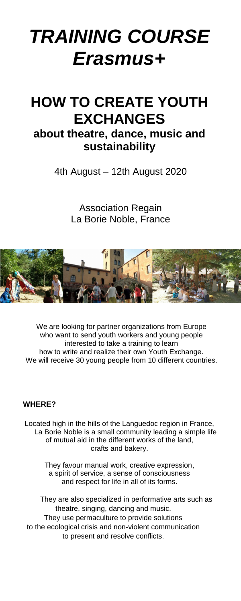# *TRAINING COURSE Erasmus+*

# **HOW TO CREATE YOUTH EXCHANGES**

## **about theatre, dance, music and sustainability**

4th August – 12th August 2020

Association Regain La Borie Noble, France



We are looking for partner organizations from Europe who want to send youth workers and young people interested to take a training to learn how to write and realize their own Youth Exchange. We will receive 30 young people from 10 different countries.

#### **WHERE?**

Located high in the hills of the Languedoc region in France, La Borie Noble is a small community leading a simple life of mutual aid in the different works of the land, crafts and bakery.

> They favour manual work, creative expression, a spirit of service, a sense of consciousness and respect for life in all of its forms.

 They are also specialized in performative arts such as theatre, singing, dancing and music. They use permaculture to provide solutions to the ecological crisis and non-violent communication to present and resolve conflicts.